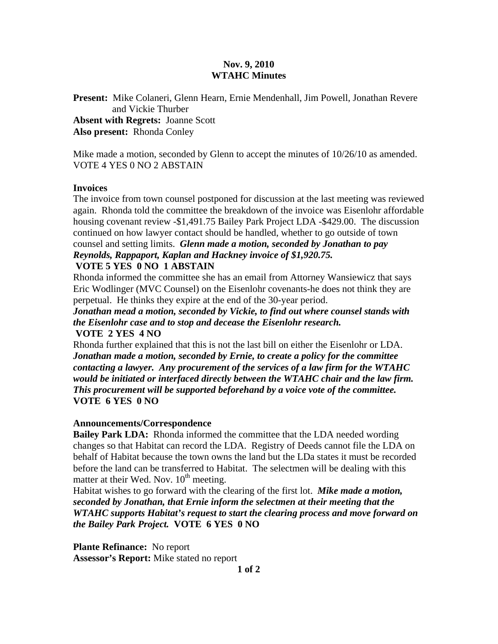## **Nov. 9, 2010 WTAHC Minutes**

**Present:** Mike Colaneri, Glenn Hearn, Ernie Mendenhall, Jim Powell, Jonathan Revere and Vickie Thurber **Absent with Regrets:** Joanne Scott

**Also present:** Rhonda Conley

Mike made a motion, seconded by Glenn to accept the minutes of 10/26/10 as amended. VOTE 4 YES 0 NO 2 ABSTAIN

## **Invoices**

The invoice from town counsel postponed for discussion at the last meeting was reviewed again. Rhonda told the committee the breakdown of the invoice was Eisenlohr affordable housing covenant review -\$1,491.75 Bailey Park Project LDA -\$429.00. The discussion continued on how lawyer contact should be handled, whether to go outside of town counsel and setting limits. *Glenn made a motion, seconded by Jonathan to pay* 

*Reynolds, Rappaport, Kaplan and Hackney invoice of \$1,920.75.*  **VOTE 5 YES 0 NO 1 ABSTAIN** 

Rhonda informed the committee she has an email from Attorney Wansiewicz that says Eric Wodlinger (MVC Counsel) on the Eisenlohr covenants-he does not think they are perpetual. He thinks they expire at the end of the 30-year period.

*Jonathan mead a motion, seconded by Vickie, to find out where counsel stands with the Eisenlohr case and to stop and decease the Eisenlohr research.*  **VOTE 2 YES 4 NO** 

Rhonda further explained that this is not the last bill on either the Eisenlohr or LDA. *Jonathan made a motion, seconded by Ernie, to create a policy for the committee contacting a lawyer. Any procurement of the services of a law firm for the WTAHC would be initiated or interfaced directly between the WTAHC chair and the law firm. This procurement will be supported beforehand by a voice vote of the committee.*  **VOTE 6 YES 0 NO**

## **Announcements/Correspondence**

**Bailey Park LDA:** Rhonda informed the committee that the LDA needed wording changes so that Habitat can record the LDA. Registry of Deeds cannot file the LDA on behalf of Habitat because the town owns the land but the LDa states it must be recorded before the land can be transferred to Habitat. The selectmen will be dealing with this matter at their Wed. Nov.  $10^{th}$  meeting.

Habitat wishes to go forward with the clearing of the first lot. *Mike made a motion, seconded by Jonathan, that Ernie inform the selectmen at their meeting that the WTAHC supports Habitat's request to start the clearing process and move forward on the Bailey Park Project.* **VOTE 6 YES 0 NO** 

**Plante Refinance:** No report **Assessor's Report:** Mike stated no report